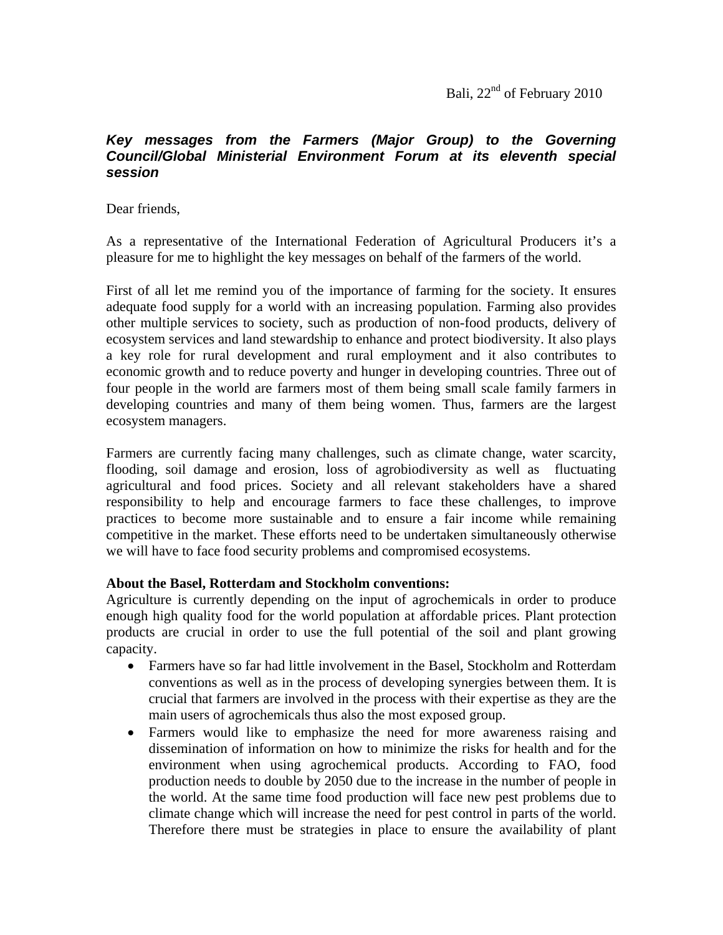Bali, 22<sup>nd</sup> of February 2010

## *Key messages from the Farmers (Major Group) to the Governing Council/Global Ministerial Environment Forum at its eleventh special session*

Dear friends,

As a representative of the International Federation of Agricultural Producers it's a pleasure for me to highlight the key messages on behalf of the farmers of the world.

First of all let me remind you of the importance of farming for the society. It ensures adequate food supply for a world with an increasing population. Farming also provides other multiple services to society, such as production of non-food products, delivery of ecosystem services and land stewardship to enhance and protect biodiversity. It also plays a key role for rural development and rural employment and it also contributes to economic growth and to reduce poverty and hunger in developing countries. Three out of four people in the world are farmers most of them being small scale family farmers in developing countries and many of them being women. Thus, farmers are the largest ecosystem managers.

Farmers are currently facing many challenges, such as climate change, water scarcity, flooding, soil damage and erosion, loss of agrobiodiversity as well as fluctuating agricultural and food prices. Society and all relevant stakeholders have a shared responsibility to help and encourage farmers to face these challenges, to improve practices to become more sustainable and to ensure a fair income while remaining competitive in the market. These efforts need to be undertaken simultaneously otherwise we will have to face food security problems and compromised ecosystems.

## **About the Basel, Rotterdam and Stockholm conventions:**

Agriculture is currently depending on the input of agrochemicals in order to produce enough high quality food for the world population at affordable prices. Plant protection products are crucial in order to use the full potential of the soil and plant growing capacity.

- Farmers have so far had little involvement in the Basel, Stockholm and Rotterdam conventions as well as in the process of developing synergies between them. It is crucial that farmers are involved in the process with their expertise as they are the main users of agrochemicals thus also the most exposed group.
- Farmers would like to emphasize the need for more awareness raising and dissemination of information on how to minimize the risks for health and for the environment when using agrochemical products. According to FAO, food production needs to double by 2050 due to the increase in the number of people in the world. At the same time food production will face new pest problems due to climate change which will increase the need for pest control in parts of the world. Therefore there must be strategies in place to ensure the availability of plant